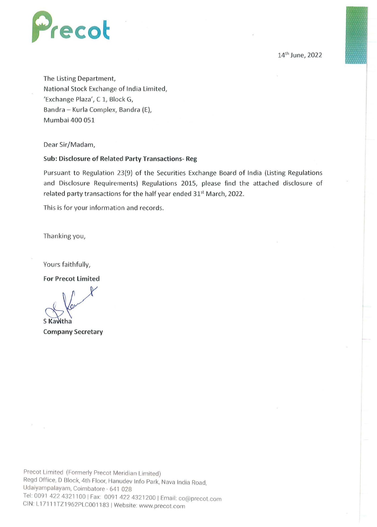

14th June, 2022

The Listing Department, National Stock Exchange of India Limited, 'Exchange Plaza', C 1, Block G, Bandra - Kurla Complex, Bandra (E), Mumbai 400 051

Dear Sir/Madam,

## **Sub: Disclosure of Related Party Transactions- Reg**

Pursuant to Regulation 23(9) of the Securities Exchange Board of India (Listing Regulations and Disclosure Requirements) Regulations 2015, please find the attached disclosure of related party transactions for the half year ended 31<sup>st</sup> March, 2022.

This is for your information and records.

Thanking you,

Yours faithfully,

**For Precot Limited** 

**S** Kawitha

**Company Secretary** 

Precot Limited (Formerly Precot Meridian Limited) Regd Office, D Block, 4th Floor, Hanudev Info Park, Nava India Road, Udaiyampalayam, Coimbatore - 641 028 Tel· 0091 422 4321100 I Fax: 0091 422 4321200 I Email: co@precot com CIN: L1 7111TZ1962PLC001183 I Website: www.precot.com